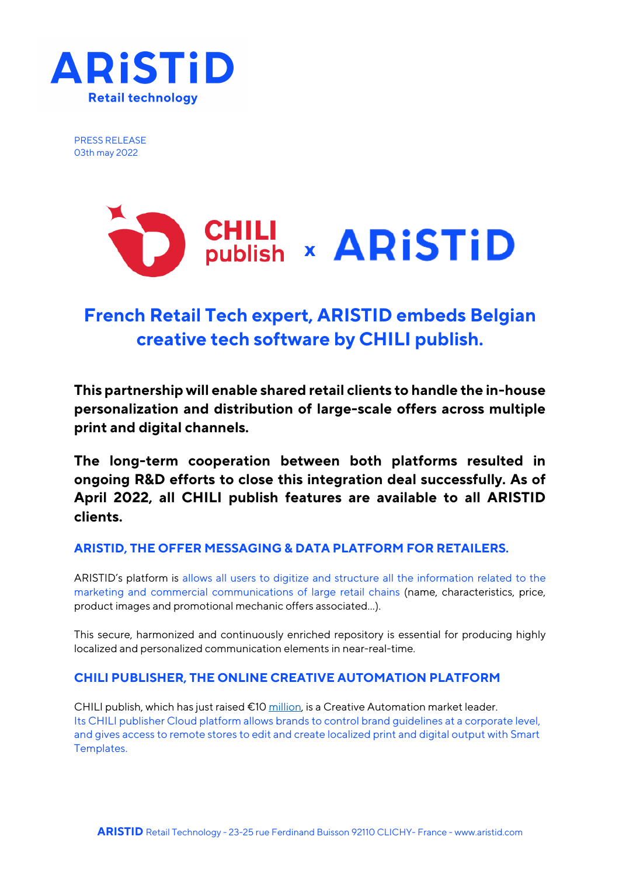

PRESS RELEASE 03th may 2022



# **French Retail Tech expert, ARISTID embeds Belgian creative tech software by CHILI publish.**

**This partnership will enable shared retail clients to handle the in-house personalization and distribution of large-scale offers across multiple print and digital channels.**

**The long-term cooperation between both platforms resulted in ongoing R&D efforts to close this integration deal successfully. As of April 2022, all CHILI publish features are available to all ARISTID clients.**

# **ARISTID, THE OFFER MESSAGING & DATA PLATFORM FOR RETAILERS.**

ARISTID's platform is allows all users to digitize and structure all the information related to the marketing and commercial communications of large retail chains (name, characteristics, price, product images and promotional mechanic offers associated…).

This secure, harmonized and continuously enriched repository is essential for producing highly localized and personalized communication elements in near-real-time.

## **CHILI PUBLISHER, THE ONLINE CREATIVE AUTOMATION PLATFORM**

CHILI publish, which has just raised  $\epsilon$ 10 million, is a Creative Automation market leader. Its CHILI publisher Cloud platform allows brands to control brand guidelines at a corporate level, and gives access to remote stores to edit and create localized print and digital output with Smart Templates.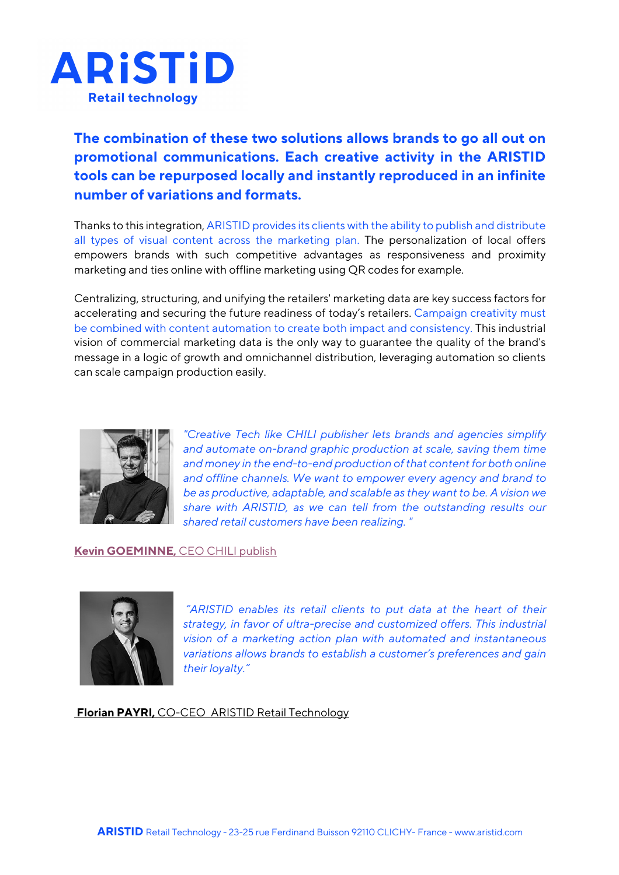

**The combination of these two solutions allows brands to go all out on promotional communications. Each creative activity in the ARISTID tools can be repurposed locally and instantly reproduced in an infinite number of variations and formats.**

Thanks to this integration, ARISTID provides its clients with the ability to publish and distribute all types of visual content across the marketing plan. The personalization of local offers empowers brands with such competitive advantages as responsiveness and proximity marketing and ties online with offline marketing using QR codes for example.

Centralizing, structuring, and unifying the retailers' marketing data are key success factors for accelerating and securing the future readiness of today's retailers. Campaign creativity must be combined with content automation to create both impact and consistency. This industrial vision of commercial marketing data is the only way to guarantee the quality of the brand's message in a logic of growth and omnichannel distribution, leveraging automation so clients can scale campaign production easily.



*"Creative Tech like CHILI publisher lets brands and agencies simplify and automate on-brand graphic production at scale, saving them time and money in the end-to-end production of that content for both online and offline channels. We want to empower every agency and brand to be as productive, adaptable, and scalable as they want to be. A vision we share with ARISTID, as we can tell from the outstanding results our shared retail customers have been realizing. "*

## **Kevin GOEMINNE,** CEO CHILI publish



*"ARISTID enables its retail clients to put data at the heart of their strategy, in favor of ultra-precise and customized offers. This industrial vision of a marketing action plan with automated and instantaneous variations allows brands to establish a customer's preferences and gain their loyalty."*

**Florian PAYRI,** CO-CEO ARISTID Retail Technology